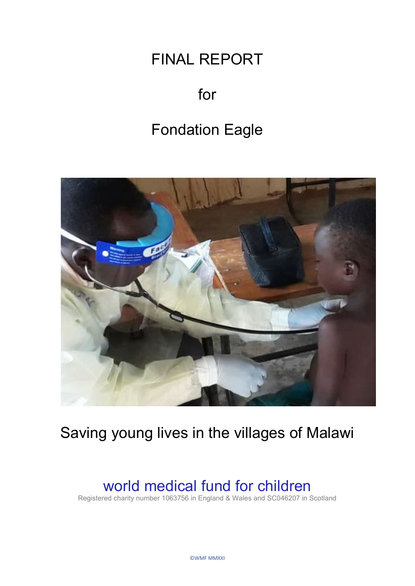# FINAL REPORT

# for

# Fondation Eagle



# Saving young lives in the villages of Malawi

## world medical fund for children

Registered charity number 1063756 in England & Wales and SC046207 in Scotland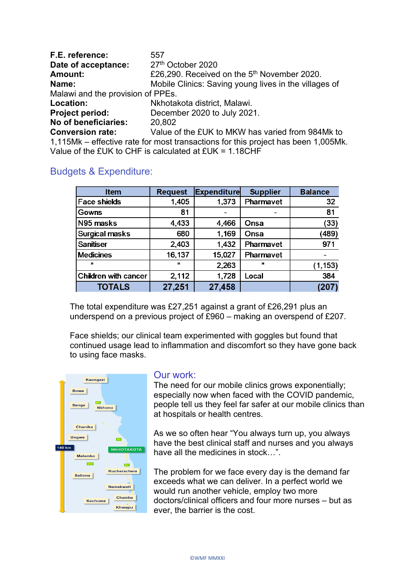| F.E. reference:                   | 557                                                                               |  |  |  |
|-----------------------------------|-----------------------------------------------------------------------------------|--|--|--|
| Date of acceptance:               | 27th October 2020                                                                 |  |  |  |
| <b>Amount:</b>                    | £26,290. Received on the 5 <sup>th</sup> November 2020.                           |  |  |  |
| Name:                             | Mobile Clinics: Saving young lives in the villages of                             |  |  |  |
| Malawi and the provision of PPEs. |                                                                                   |  |  |  |
| Location:                         | Nkhotakota district, Malawi.                                                      |  |  |  |
| <b>Project period:</b>            | December 2020 to July 2021.                                                       |  |  |  |
| No of beneficiaries:              | 20,802                                                                            |  |  |  |
| <b>Conversion rate:</b>           | Value of the £UK to MKW has varied from 984Mk to                                  |  |  |  |
|                                   | 1,115Mk – effective rate for most transactions for this project has been 1,005Mk. |  |  |  |
|                                   | Value of the $EUK$ to CHF is calculated at $EUK = 1.18CHF$                        |  |  |  |

|  | <b>Budgets &amp; Expenditure:</b> |
|--|-----------------------------------|

| <b>Item</b>           | <b>Request</b> | <b>Expenditure</b> | <b>Supplier</b> | <b>Balance</b> |
|-----------------------|----------------|--------------------|-----------------|----------------|
| <b>Face shields</b>   | 1,405          | 1,373              | Pharmavet       | 32             |
| Gowns                 | 81             |                    |                 | 81             |
| N95 masks             | 4,433          | 4,466              | Onsa            | (33)           |
| <b>Surgical masks</b> | 680            | 1,169              | Onsa            | (489)          |
| <b>Sanitiser</b>      | 2,403          | 1,432              | Pharmavet       | 971            |
| <b>Medicines</b>      | 16,137         | 15,027             | Pharmavet       |                |
| ш                     | $\mathbf{u}$   | 2,263              | ш               | (1, 153)       |
| Children with cancer  | 2,112          | 1,728              | Local           | 384            |
| <b>TOTALS</b>         | 27,251         | 27,458             |                 |                |

The total expenditure was £27,251 against a grant of £26,291 plus an underspend on a previous project of £960 – making an overspend of £207.

Face shields; our clinical team experimented with goggles but found that continued usage lead to inflammation and discomfort so they have gone back to using face masks.



## Our work:

The need for our mobile clinics grows exponentially; especially now when faced with the COVID pandemic, people tell us they feel far safer at our mobile clinics than at hospitals or health centres.

As we so often hear "You always turn up, you always have the best clinical staff and nurses and you always have all the medicines in stock…".

The problem for we face every day is the demand far exceeds what we can deliver. In a perfect world we would run another vehicle, employ two more doctors/clinical officers and four more nurses – but as ever, the barrier is the cost.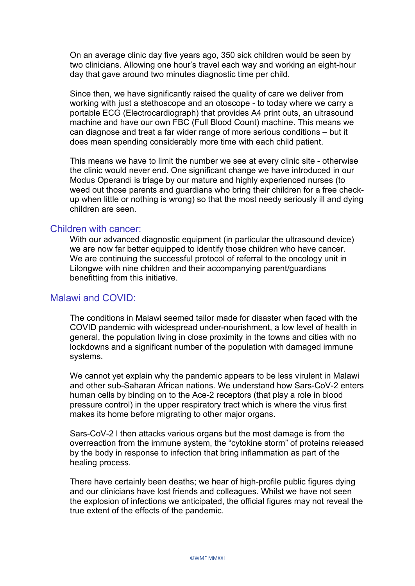On an average clinic day five years ago, 350 sick children would be seen by two clinicians. Allowing one hour's travel each way and working an eight-hour day that gave around two minutes diagnostic time per child.

Since then, we have significantly raised the quality of care we deliver from working with just a stethoscope and an otoscope - to today where we carry a portable ECG (Electrocardiograph) that provides A4 print outs, an ultrasound machine and have our own FBC (Full Blood Count) machine. This means we can diagnose and treat a far wider range of more serious conditions – but it does mean spending considerably more time with each child patient.

This means we have to limit the number we see at every clinic site - otherwise the clinic would never end. One significant change we have introduced in our Modus Operandi is triage by our mature and highly experienced nurses (to weed out those parents and guardians who bring their children for a free checkup when little or nothing is wrong) so that the most needy seriously ill and dying children are seen.

#### Children with cancer:

With our advanced diagnostic equipment (in particular the ultrasound device) we are now far better equipped to identify those children who have cancer. We are continuing the successful protocol of referral to the oncology unit in Lilongwe with nine children and their accompanying parent/guardians benefitting from this initiative.

### Malawi and COVID:

The conditions in Malawi seemed tailor made for disaster when faced with the COVID pandemic with widespread under-nourishment, a low level of health in general, the population living in close proximity in the towns and cities with no lockdowns and a significant number of the population with damaged immune systems.

We cannot yet explain why the pandemic appears to be less virulent in Malawi and other sub-Saharan African nations. We understand how Sars-CoV-2 enters human cells by binding on to the Ace-2 receptors (that play a role in blood pressure control) in the upper respiratory tract which is where the virus first makes its home before migrating to other major organs.

Sars-CoV-2 l then attacks various organs but the most damage is from the overreaction from the immune system, the "cytokine storm" of proteins released by the body in response to infection that bring inflammation as part of the healing process.

There have certainly been deaths; we hear of high-profile public figures dying and our clinicians have lost friends and colleagues. Whilst we have not seen the explosion of infections we anticipated, the official figures may not reveal the true extent of the effects of the pandemic.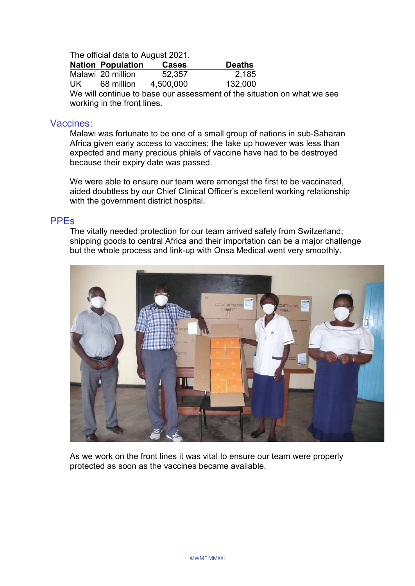The official data to August 2021.

|     | <b>Nation Population</b> | <b>Cases</b> | <b>Deaths</b>                                                                                                                                                                                                                                                                                                                                                                                                                |
|-----|--------------------------|--------------|------------------------------------------------------------------------------------------------------------------------------------------------------------------------------------------------------------------------------------------------------------------------------------------------------------------------------------------------------------------------------------------------------------------------------|
|     | Malawi 20 million        | 52,357       | 2,185                                                                                                                                                                                                                                                                                                                                                                                                                        |
| UK. | 68 million               | 4,500,000    | 132,000                                                                                                                                                                                                                                                                                                                                                                                                                      |
|     |                          |              | $\mathbf{M} = \mathbf{M} = \mathbf{M} = \mathbf{M} = \mathbf{M} = \mathbf{M} = \mathbf{M} = \mathbf{M} = \mathbf{M} = \mathbf{M} = \mathbf{M} = \mathbf{M} = \mathbf{M} = \mathbf{M} = \mathbf{M} = \mathbf{M} = \mathbf{M} = \mathbf{M} = \mathbf{M} = \mathbf{M} = \mathbf{M} = \mathbf{M} = \mathbf{M} = \mathbf{M} = \mathbf{M} = \mathbf{M} = \mathbf{M} = \mathbf{M} = \mathbf{M} = \mathbf{M} = \mathbf{M} = \mathbf$ |

We will continue to base our assessment of the situation on what we see working in the front lines.

### Vaccines:

Malawi was fortunate to be one of a small group of nations in sub-Saharan Africa given early access to vaccines; the take up however was less than expected and many precious phials of vaccine have had to be destroyed because their expiry date was passed.

We were able to ensure our team were amongst the first to be vaccinated, aided doubtless by our Chief Clinical Officer's excellent working relationship with the government district hospital.

#### PPEs

The vitally needed protection for our team arrived safely from Switzerland; shipping goods to central Africa and their importation can be a major challenge but the whole process and link-up with Onsa Medical went very smoothly.



As we work on the front lines it was vital to ensure our team were properly protected as soon as the vaccines became available.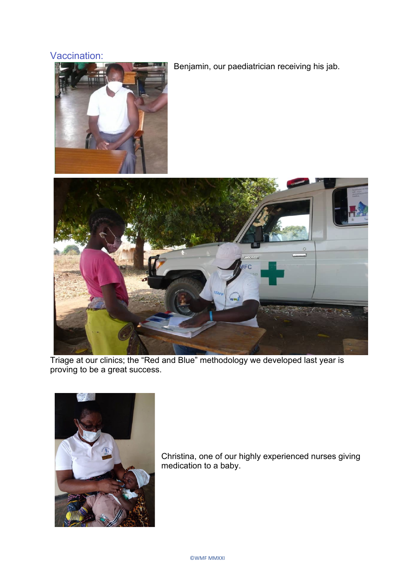## Vaccination:



Benjamin, our paediatrician receiving his jab.



Triage at our clinics; the "Red and Blue" methodology we developed last year is proving to be a great success.



Christina, one of our highly experienced nurses giving medication to a baby.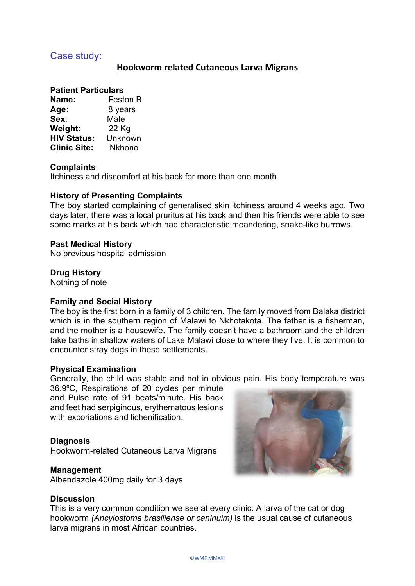## Case study:

## **Hookworm related Cutaneous Larva Migrans**

#### **Patient Particulars**

| Name:               | Feston B.     |
|---------------------|---------------|
| Age:                | 8 years       |
| Sex:                | Male          |
| Weight:             | 22 Kg         |
| <b>HIV Status:</b>  | Unknown       |
| <b>Clinic Site:</b> | <b>Nkhono</b> |

#### **Complaints**

Itchiness and discomfort at his back for more than one month

#### **History of Presenting Complaints**

The boy started complaining of generalised skin itchiness around 4 weeks ago. Two days later, there was a local pruritus at his back and then his friends were able to see some marks at his back which had characteristic meandering, snake-like burrows.

#### **Past Medical History**

No previous hospital admission

#### **Drug History**

Nothing of note

#### **Family and Social History**

The boy is the first born in a family of 3 children. The family moved from Balaka district which is in the southern region of Malawi to Nkhotakota. The father is a fisherman, and the mother is a housewife. The family doesn't have a bathroom and the children take baths in shallow waters of Lake Malawi close to where they live. It is common to encounter stray dogs in these settlements.

#### **Physical Examination**

Generally, the child was stable and not in obvious pain. His body temperature was

36.9⁰C, Respirations of 20 cycles per minute and Pulse rate of 91 beats/minute. His back and feet had serpiginous, erythematous lesions with excoriations and lichenification

#### **Diagnosis**

Hookworm-related Cutaneous Larva Migrans

#### **Management**

Albendazole 400mg daily for 3 days

### **Discussion**

This is a very common condition we see at every clinic. A larva of the cat or dog hookworm *(Ancylostoma brasiliense or caninuim)* is the usual cause of cutaneous larva migrans in most African countries.

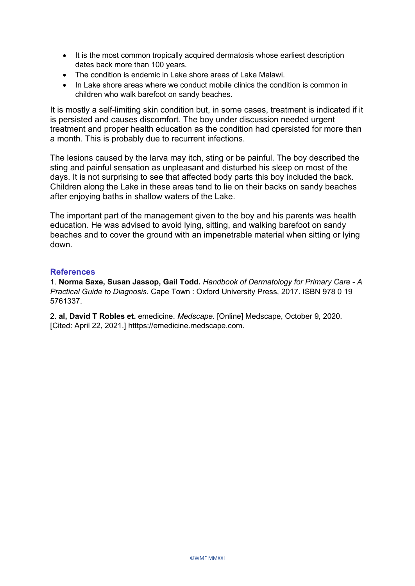- It is the most common tropically acquired dermatosis whose earliest description dates back more than 100 years.
- The condition is endemic in Lake shore areas of Lake Malawi.
- In Lake shore areas where we conduct mobile clinics the condition is common in children who walk barefoot on sandy beaches.

It is mostly a self-limiting skin condition but, in some cases, treatment is indicated if it is persisted and causes discomfort. The boy under discussion needed urgent treatment and proper health education as the condition had cpersisted for more than a month. This is probably due to recurrent infections.

The lesions caused by the larva may itch, sting or be painful. The boy described the sting and painful sensation as unpleasant and disturbed his sleep on most of the days. It is not surprising to see that affected body parts this boy included the back. Children along the Lake in these areas tend to lie on their backs on sandy beaches after enjoying baths in shallow waters of the Lake.

The important part of the management given to the boy and his parents was health education. He was advised to avoid lying, sitting, and walking barefoot on sandy beaches and to cover the ground with an impenetrable material when sitting or lying down.

#### **References**

1. **Norma Saxe, Susan Jassop, Gail Todd.** *Handbook of Dermatology for Primary Care - A Practical Guide to Diagnosis.* Cape Town : Oxford University Press, 2017. ISBN 978 0 19 5761337.

2. **al, David T Robles et.** emedicine. *Medscape.* [Online] Medscape, October 9, 2020. [Cited: April 22, 2021.] htttps://emedicine.medscape.com.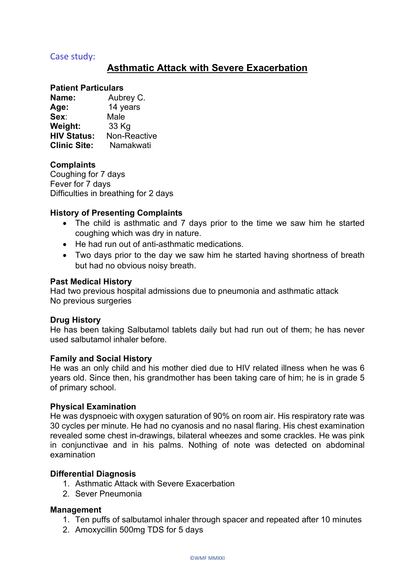### Case study:

## **Asthmatic Attack with Severe Exacerbation**

#### **Patient Particulars**

| Name:               | Aubrey C.    |
|---------------------|--------------|
| Age:                | 14 years     |
| Sex:                | Male         |
| <b>Weight:</b>      | 33 Kg        |
| <b>HIV Status:</b>  | Non-Reactive |
| <b>Clinic Site:</b> | Namakwati    |

#### **Complaints**

Coughing for 7 days Fever for 7 days Difficulties in breathing for 2 days

### **History of Presenting Complaints**

- The child is asthmatic and 7 days prior to the time we saw him he started coughing which was dry in nature.
- He had run out of anti-asthmatic medications.
- Two days prior to the day we saw him he started having shortness of breath but had no obvious noisy breath.

#### **Past Medical History**

Had two previous hospital admissions due to pneumonia and asthmatic attack No previous surgeries

#### **Drug History**

He has been taking Salbutamol tablets daily but had run out of them; he has never used salbutamol inhaler before.

#### **Family and Social History**

He was an only child and his mother died due to HIV related illness when he was 6 years old. Since then, his grandmother has been taking care of him; he is in grade 5 of primary school.

#### **Physical Examination**

He was dyspnoeic with oxygen saturation of 90% on room air. His respiratory rate was 30 cycles per minute. He had no cyanosis and no nasal flaring. His chest examination revealed some chest in-drawings, bilateral wheezes and some crackles. He was pink in conjunctivae and in his palms. Nothing of note was detected on abdominal examination

#### **Differential Diagnosis**

- 1. Asthmatic Attack with Severe Exacerbation
- 2. Sever Pneumonia

#### **Management**

- 1. Ten puffs of salbutamol inhaler through spacer and repeated after 10 minutes
- 2. Amoxycillin 500mg TDS for 5 days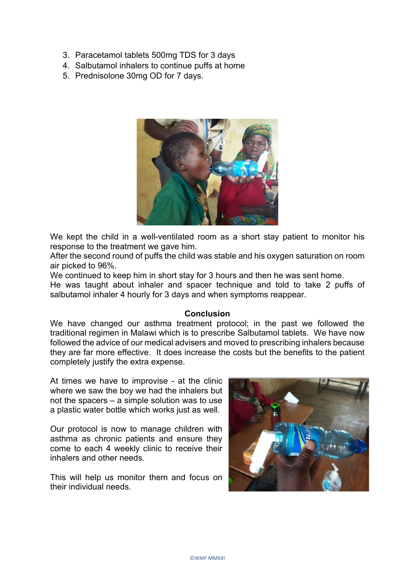- 3. Paracetamol tablets 500mg TDS for 3 days
- 4. Salbutamol inhalers to continue puffs at home
- 5. Prednisolone 30mg OD for 7 days.



We kept the child in a well-ventilated room as a short stay patient to monitor his response to the treatment we gave him.

After the second round of puffs the child was stable and his oxygen saturation on room air picked to 96%.

We continued to keep him in short stay for 3 hours and then he was sent home.

He was taught about inhaler and spacer technique and told to take 2 puffs of salbutamol inhaler 4 hourly for 3 days and when symptoms reappear.

#### **Conclusion**

We have changed our asthma treatment protocol; in the past we followed the traditional regimen in Malawi which is to prescribe Salbutamol tablets. We have now followed the advice of our medical advisers and moved to prescribing inhalers because they are far more effective. It does increase the costs but the benefits to the patient completely justify the extra expense.

At times we have to improvise - at the clinic where we saw the boy we had the inhalers but not the spacers – a simple solution was to use a plastic water bottle which works just as well.

Our protocol is now to manage children with asthma as chronic patients and ensure they come to each 4 weekly clinic to receive their inhalers and other needs.

This will help us monitor them and focus on their individual needs.

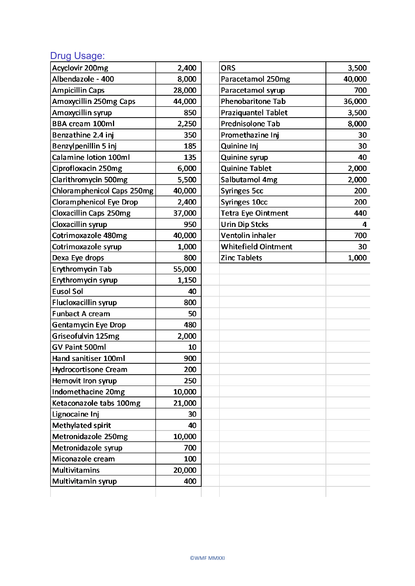## Drug Usage:

| Acyclovir 200mg               | 2,400  | <b>ORS</b>                 | 3,500  |
|-------------------------------|--------|----------------------------|--------|
| Albendazole - 400             | 8,000  | Paracetamol 250mg          | 40,000 |
| <b>Ampicillin Caps</b>        | 28,000 | Paracetamol syrup          | 700    |
| Amoxycillin 250mg Caps        | 44,000 | <b>Phenobaritone Tab</b>   | 36,000 |
| Amoxycillin syrup             | 850    | <b>Praziquantel Tablet</b> | 3,500  |
| <b>BBA cream 100ml</b>        | 2,250  | Prednisolone Tab           | 8,000  |
| Benzathine 2.4 inj            | 350    | Promethazine Inj           | 30     |
| Benzylpenillin 5 inj          | 185    | Quinine Inj                | 30     |
| Calamine lotion 100ml         | 135    | <b>Quinine syrup</b>       | 40     |
| Ciprofloxacin 250mg           | 6,000  | <b>Quinine Tablet</b>      | 2,000  |
| Clarithromycin 500mg          | 5,500  | Salbutamol 4mg             | 2,000  |
| Chloramphenicol Caps 250mg    | 40,000 | <b>Syringes 5cc</b>        | 200    |
| Cloramphenicol Eye Drop       | 2,400  | Syringes 10cc              | 200    |
| <b>Cloxacillin Caps 250mg</b> | 37,000 | <b>Tetra Eye Ointment</b>  | 440    |
| Cloxacillin syrup             | 950    | <b>Urin Dip Stcks</b>      | 4      |
| Cotrimoxazole 480mg           | 40,000 | Ventolin inhaler           | 700    |
| Cotrimoxazole syrup           | 1,000  | <b>Whitefield Ointment</b> | 30     |
| Dexa Eye drops                | 800    | <b>Zinc Tablets</b>        | 1,000  |
| Erythromycin Tab              | 55,000 |                            |        |
| Erythromycin syrup            | 1,150  |                            |        |
| <b>Eusol Sol</b>              | 40     |                            |        |
| <b>Flucloxacillin syrup</b>   | 800    |                            |        |
| <b>Funbact A cream</b>        | 50     |                            |        |
| Gentamycin Eye Drop           | 480    |                            |        |
| Griseofulvin 125mg            | 2,000  |                            |        |
| GV Paint 500ml                | 10     |                            |        |
| Hand sanitiser 100ml          | 900    |                            |        |
| <b>Hydrocortisone Cream</b>   | 200    |                            |        |
| Hemovit Iron syrup            | 250    |                            |        |
| Indomethacine 20mg            | 10,000 |                            |        |
| Ketaconazole tabs 100mg       | 21,000 |                            |        |
| Lignocaine Inj                | 30     |                            |        |
| Methylated spirit             | 40     |                            |        |
| Metronidazole 250mg           | 10,000 |                            |        |
| Metronidazole syrup           | 700    |                            |        |
| Miconazole cream              | 100    |                            |        |
| <b>Multivitamins</b>          | 20,000 |                            |        |
| Multivitamin syrup            | 400    |                            |        |